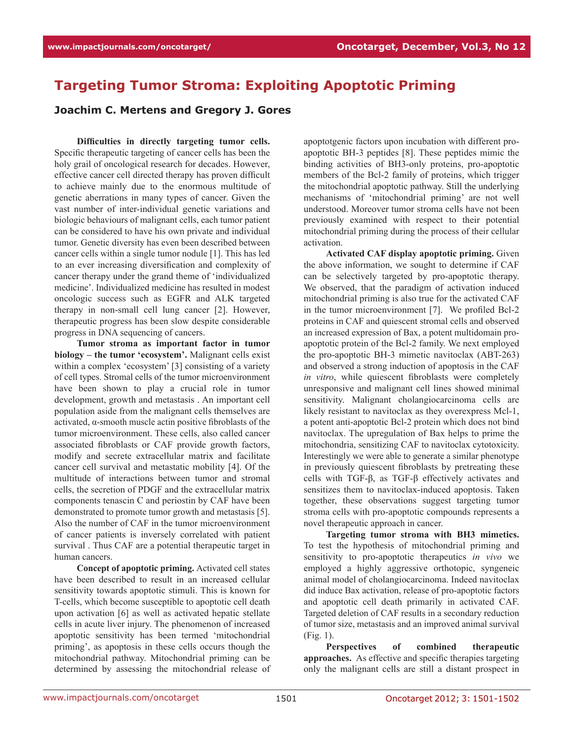## **Targeting Tumor Stroma: Exploiting Apoptotic Priming**

## **Joachim C. Mertens and Gregory J. Gores**

**Difficulties in directly targeting tumor cells.** Specific therapeutic targeting of cancer cells has been the holy grail of oncological research for decades. However, effective cancer cell directed therapy has proven difficult to achieve mainly due to the enormous multitude of genetic aberrations in many types of cancer. Given the vast number of inter-individual genetic variations and biologic behaviours of malignant cells, each tumor patient can be considered to have his own private and individual tumor. Genetic diversity has even been described between cancer cells within a single tumor nodule [1]. This has led to an ever increasing diversification and complexity of cancer therapy under the grand theme of 'individualized medicine'. Individualized medicine has resulted in modest oncologic success such as EGFR and ALK targeted therapy in non-small cell lung cancer [2]. However, therapeutic progress has been slow despite considerable progress in DNA sequencing of cancers.

**Tumor stroma as important factor in tumor biology – the tumor 'ecosystem'.** Malignant cells exist within a complex 'ecosystem' [3] consisting of a variety of cell types. Stromal cells of the tumor microenvironment have been shown to play a crucial role in tumor development, growth and metastasis . An important cell population aside from the malignant cells themselves are activated, α-smooth muscle actin positive fibroblasts of the tumor microenvironment. These cells, also called cancer associated fibroblasts or CAF provide growth factors, modify and secrete extracellular matrix and facilitate cancer cell survival and metastatic mobility [4]. Of the multitude of interactions between tumor and stromal cells, the secretion of PDGF and the extracellular matrix components tenascin C and periostin by CAF have been demonstrated to promote tumor growth and metastasis [5]. Also the number of CAF in the tumor microenvironment of cancer patients is inversely correlated with patient survival . Thus CAF are a potential therapeutic target in human cancers.

**Concept of apoptotic priming.** Activated cell states have been described to result in an increased cellular sensitivity towards apoptotic stimuli. This is known for T-cells, which become susceptible to apoptotic cell death upon activation [6] as well as activated hepatic stellate cells in acute liver injury. The phenomenon of increased apoptotic sensitivity has been termed 'mitochondrial priming', as apoptosis in these cells occurs though the mitochondrial pathway. Mitochondrial priming can be determined by assessing the mitochondrial release of apoptotgenic factors upon incubation with different proapoptotic BH-3 peptides [8]. These peptides mimic the binding activities of BH3-only proteins, pro-apoptotic members of the Bcl-2 family of proteins, which trigger the mitochondrial apoptotic pathway. Still the underlying mechanisms of 'mitochondrial priming' are not well understood. Moreover tumor stroma cells have not been previously examined with respect to their potential mitochondrial priming during the process of their cellular activation.

**Activated CAF display apoptotic priming.** Given the above information, we sought to determine if CAF can be selectively targeted by pro-apoptotic therapy. We observed, that the paradigm of activation induced mitochondrial priming is also true for the activated CAF in the tumor microenvironment [7]. We profiled Bcl-2 proteins in CAF and quiescent stromal cells and observed an increased expression of Bax, a potent multidomain proapoptotic protein of the Bcl-2 family. We next employed the pro-apoptotic BH-3 mimetic navitoclax (ABT-263) and observed a strong induction of apoptosis in the CAF *in vitro*, while quiescent fibroblasts were completely unresponsive and malignant cell lines showed minimal sensitivity. Malignant cholangiocarcinoma cells are likely resistant to navitoclax as they overexpress Mcl-1, a potent anti-apoptotic Bcl-2 protein which does not bind navitoclax. The upregulation of Bax helps to prime the mitochondria, sensitizing CAF to navitoclax cytotoxicity. Interestingly we were able to generate a similar phenotype in previously quiescent fibroblasts by pretreating these cells with TGF-β, as TGF-β effectively activates and sensitizes them to navitoclax-induced apoptosis. Taken together, these observations suggest targeting tumor stroma cells with pro-apoptotic compounds represents a novel therapeutic approach in cancer.

**Targeting tumor stroma with BH3 mimetics.**  To test the hypothesis of mitochondrial priming and sensitivity to pro-apoptotic therapeutics *in vivo* we employed a highly aggressive orthotopic, syngeneic animal model of cholangiocarcinoma. Indeed navitoclax did induce Bax activation, release of pro-apoptotic factors and apoptotic cell death primarily in activated CAF. Targeted deletion of CAF results in a secondary reduction of tumor size, metastasis and an improved animal survival (Fig. 1).

**Perspectives of combined therapeutic approaches.** As effective and specific therapies targeting only the malignant cells are still a distant prospect in